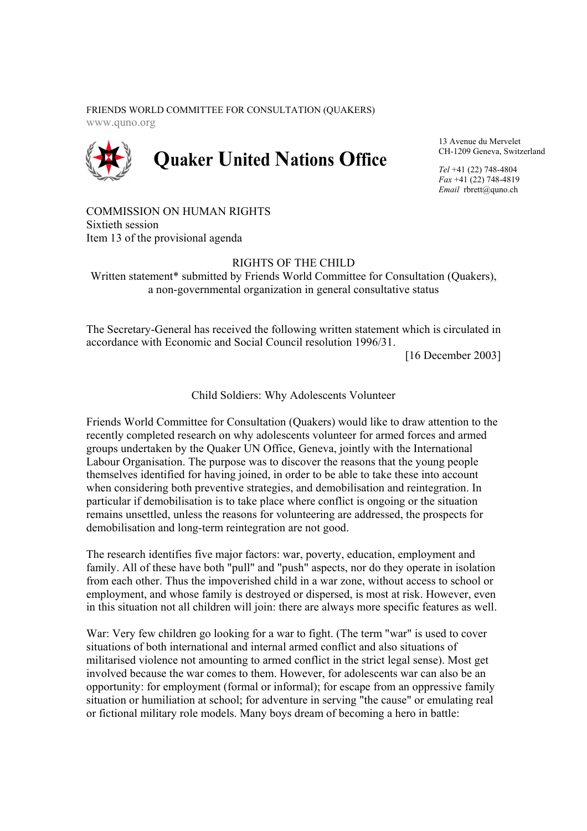FRIENDS WORLD COMMITTEE FOR CONSULTATION (QUAKERS) www.quno.org



13 Avenue du Mervelet CH-1209 Geneva, Switzerland

*Tel* +41 (22) 748-4804 *Fax* +41 (22) 748-4819 *Email* rbrett@quno.ch

COMMISSION ON HUMAN RIGHTS Sixtieth session Item 13 of the provisional agenda

## RIGHTS OF THE CHILD

Written statement<sup>\*</sup> submitted by Friends World Committee for Consultation (Ouakers), a non-governmental organization in general consultative status

The Secretary-General has received the following written statement which is circulated in accordance with Economic and Social Council resolution 1996/31.

[16 December 2003]

Child Soldiers: Why Adolescents Volunteer

Friends World Committee for Consultation (Quakers) would like to draw attention to the recently completed research on why adolescents volunteer for armed forces and armed groups undertaken by the Quaker UN Office, Geneva, jointly with the International Labour Organisation. The purpose was to discover the reasons that the young people themselves identified for having joined, in order to be able to take these into account when considering both preventive strategies, and demobilisation and reintegration. In particular if demobilisation is to take place where conflict is ongoing or the situation remains unsettled, unless the reasons for volunteering are addressed, the prospects for demobilisation and long-term reintegration are not good.

The research identifies five major factors: war, poverty, education, employment and family. All of these have both "pull" and "push" aspects, nor do they operate in isolation from each other. Thus the impoverished child in a war zone, without access to school or employment, and whose family is destroyed or dispersed, is most at risk. However, even in this situation not all children will join: there are always more specific features as well.

War: Very few children go looking for a war to fight. (The term "war" is used to cover situations of both international and internal armed conflict and also situations of militarised violence not amounting to armed conflict in the strict legal sense). Most get involved because the war comes to them. However, for adolescents war can also be an opportunity: for employment (formal or informal); for escape from an oppressive family situation or humiliation at school; for adventure in serving "the cause" or emulating real or fictional military role models. Many boys dream of becoming a hero in battle: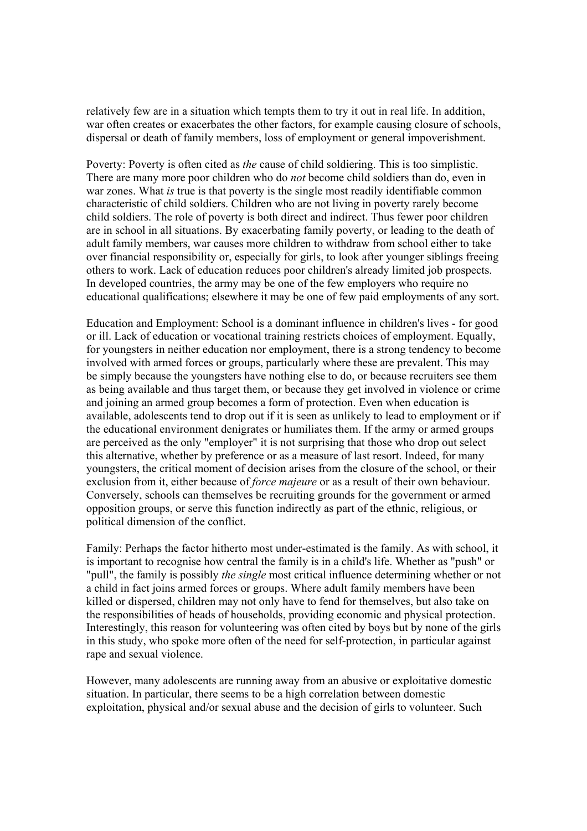relatively few are in a situation which tempts them to try it out in real life. In addition, war often creates or exacerbates the other factors, for example causing closure of schools, dispersal or death of family members, loss of employment or general impoverishment.

Poverty: Poverty is often cited as *the* cause of child soldiering. This is too simplistic. There are many more poor children who do *not* become child soldiers than do, even in war zones. What *is* true is that poverty is the single most readily identifiable common characteristic of child soldiers. Children who are not living in poverty rarely become child soldiers. The role of poverty is both direct and indirect. Thus fewer poor children are in school in all situations. By exacerbating family poverty, or leading to the death of adult family members, war causes more children to withdraw from school either to take over financial responsibility or, especially for girls, to look after younger siblings freeing others to work. Lack of education reduces poor children's already limited job prospects. In developed countries, the army may be one of the few employers who require no educational qualifications; elsewhere it may be one of few paid employments of any sort.

Education and Employment: School is a dominant influence in children's lives - for good or ill. Lack of education or vocational training restricts choices of employment. Equally, for youngsters in neither education nor employment, there is a strong tendency to become involved with armed forces or groups, particularly where these are prevalent. This may be simply because the youngsters have nothing else to do, or because recruiters see them as being available and thus target them, or because they get involved in violence or crime and joining an armed group becomes a form of protection. Even when education is available, adolescents tend to drop out if it is seen as unlikely to lead to employment or if the educational environment denigrates or humiliates them. If the army or armed groups are perceived as the only "employer" it is not surprising that those who drop out select this alternative, whether by preference or as a measure of last resort. Indeed, for many youngsters, the critical moment of decision arises from the closure of the school, or their exclusion from it, either because of *force majeure* or as a result of their own behaviour. Conversely, schools can themselves be recruiting grounds for the government or armed opposition groups, or serve this function indirectly as part of the ethnic, religious, or political dimension of the conflict.

Family: Perhaps the factor hitherto most under-estimated is the family. As with school, it is important to recognise how central the family is in a child's life. Whether as "push" or "pull", the family is possibly *the single* most critical influence determining whether or not a child in fact joins armed forces or groups. Where adult family members have been killed or dispersed, children may not only have to fend for themselves, but also take on the responsibilities of heads of households, providing economic and physical protection. Interestingly, this reason for volunteering was often cited by boys but by none of the girls in this study, who spoke more often of the need for self-protection, in particular against rape and sexual violence.

However, many adolescents are running away from an abusive or exploitative domestic situation. In particular, there seems to be a high correlation between domestic exploitation, physical and/or sexual abuse and the decision of girls to volunteer. Such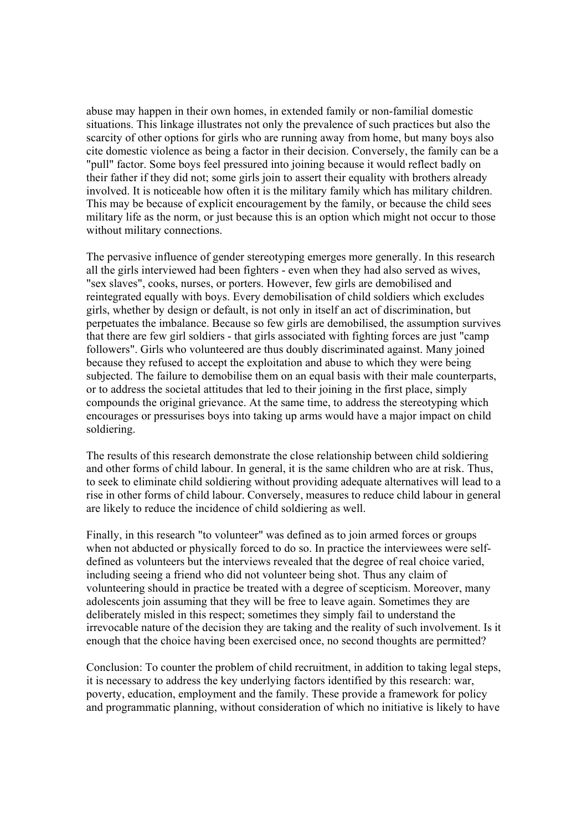abuse may happen in their own homes, in extended family or non-familial domestic situations. This linkage illustrates not only the prevalence of such practices but also the scarcity of other options for girls who are running away from home, but many boys also cite domestic violence as being a factor in their decision. Conversely, the family can be a "pull" factor. Some boys feel pressured into joining because it would reflect badly on their father if they did not; some girls join to assert their equality with brothers already involved. It is noticeable how often it is the military family which has military children. This may be because of explicit encouragement by the family, or because the child sees military life as the norm, or just because this is an option which might not occur to those without military connections.

The pervasive influence of gender stereotyping emerges more generally. In this research all the girls interviewed had been fighters - even when they had also served as wives, "sex slaves", cooks, nurses, or porters. However, few girls are demobilised and reintegrated equally with boys. Every demobilisation of child soldiers which excludes girls, whether by design or default, is not only in itself an act of discrimination, but perpetuates the imbalance. Because so few girls are demobilised, the assumption survives that there are few girl soldiers - that girls associated with fighting forces are just "camp followers". Girls who volunteered are thus doubly discriminated against. Many joined because they refused to accept the exploitation and abuse to which they were being subjected. The failure to demobilise them on an equal basis with their male counterparts, or to address the societal attitudes that led to their joining in the first place, simply compounds the original grievance. At the same time, to address the stereotyping which encourages or pressurises boys into taking up arms would have a major impact on child soldiering.

The results of this research demonstrate the close relationship between child soldiering and other forms of child labour. In general, it is the same children who are at risk. Thus, to seek to eliminate child soldiering without providing adequate alternatives will lead to a rise in other forms of child labour. Conversely, measures to reduce child labour in general are likely to reduce the incidence of child soldiering as well.

Finally, in this research "to volunteer" was defined as to join armed forces or groups when not abducted or physically forced to do so. In practice the interviewees were selfdefined as volunteers but the interviews revealed that the degree of real choice varied, including seeing a friend who did not volunteer being shot. Thus any claim of volunteering should in practice be treated with a degree of scepticism. Moreover, many adolescents join assuming that they will be free to leave again. Sometimes they are deliberately misled in this respect; sometimes they simply fail to understand the irrevocable nature of the decision they are taking and the reality of such involvement. Is it enough that the choice having been exercised once, no second thoughts are permitted?

Conclusion: To counter the problem of child recruitment, in addition to taking legal steps, it is necessary to address the key underlying factors identified by this research: war, poverty, education, employment and the family. These provide a framework for policy and programmatic planning, without consideration of which no initiative is likely to have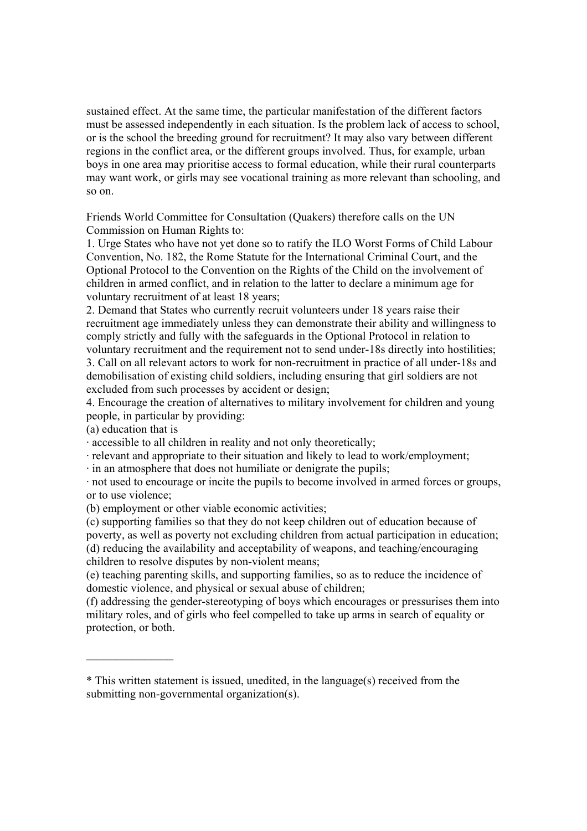sustained effect. At the same time, the particular manifestation of the different factors must be assessed independently in each situation. Is the problem lack of access to school, or is the school the breeding ground for recruitment? It may also vary between different regions in the conflict area, or the different groups involved. Thus, for example, urban boys in one area may prioritise access to formal education, while their rural counterparts may want work, or girls may see vocational training as more relevant than schooling, and so on.

Friends World Committee for Consultation (Quakers) therefore calls on the UN Commission on Human Rights to:

1. Urge States who have not yet done so to ratify the ILO Worst Forms of Child Labour Convention, No. 182, the Rome Statute for the International Criminal Court, and the Optional Protocol to the Convention on the Rights of the Child on the involvement of children in armed conflict, and in relation to the latter to declare a minimum age for voluntary recruitment of at least 18 years;

2. Demand that States who currently recruit volunteers under 18 years raise their recruitment age immediately unless they can demonstrate their ability and willingness to comply strictly and fully with the safeguards in the Optional Protocol in relation to voluntary recruitment and the requirement not to send under-18s directly into hostilities; 3. Call on all relevant actors to work for non-recruitment in practice of all under-18s and demobilisation of existing child soldiers, including ensuring that girl soldiers are not excluded from such processes by accident or design;

4. Encourage the creation of alternatives to military involvement for children and young people, in particular by providing:

(a) education that is

 $\frac{1}{2}$ 

· accessible to all children in reality and not only theoretically;

· relevant and appropriate to their situation and likely to lead to work/employment;

· in an atmosphere that does not humiliate or denigrate the pupils;

· not used to encourage or incite the pupils to become involved in armed forces or groups, or to use violence;

(b) employment or other viable economic activities;

(c) supporting families so that they do not keep children out of education because of poverty, as well as poverty not excluding children from actual participation in education; (d) reducing the availability and acceptability of weapons, and teaching/encouraging children to resolve disputes by non-violent means;

(e) teaching parenting skills, and supporting families, so as to reduce the incidence of domestic violence, and physical or sexual abuse of children;

(f) addressing the gender-stereotyping of boys which encourages or pressurises them into military roles, and of girls who feel compelled to take up arms in search of equality or protection, or both.

<sup>\*</sup> This written statement is issued, unedited, in the language(s) received from the submitting non-governmental organization(s).